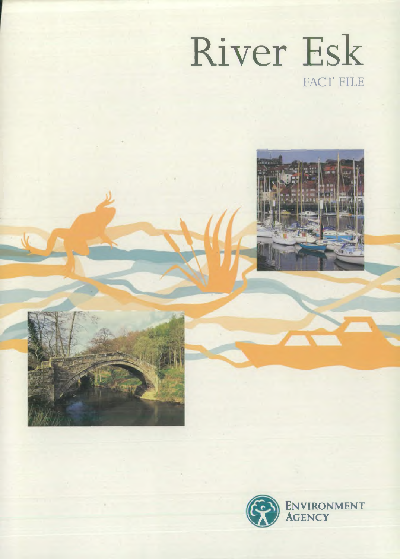



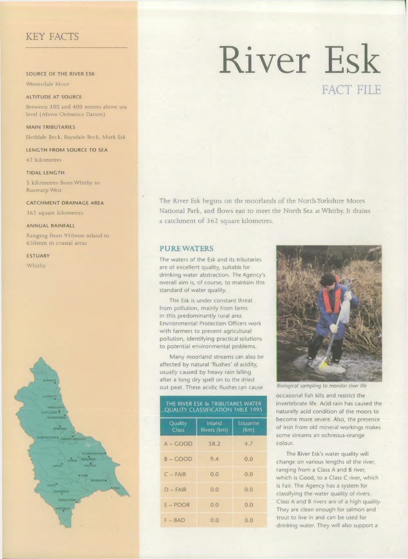# KEY FACTS

SOURCE OF THE RIVER ESK

Westerdale Moor

ALTITUDE AT SOURCE

Between 300 and 400 metres above sea level (Above Ordnance Datum)

**MAIN TRIBUTARIES** Sleddale Beck, Baysdale Beck, Murk Esk

LENGTH FROM SOURCE TO SEA

42 kilometres

#### **TIDAL LENGTH**

5 kilometres from Whitby to Ruswarp Weir

#### **CATCHMENT DRAINAGE AREA**

362 square kilometres

#### **ANNUAL RAINFALL**

Ranging from 950mm inland to 650mm in coastal areas

**ESTUARY** 

Whitby



# River Esk FACT FILE

The River Esk begins on the moorlands of the North-Yorkshire Moors National Park, and flows east to meet the North Sea at Whitby. It drains a catchment of 362 square kilometres.

## PURE WATERS

The waters of the Esk and its tributaries are of excellent quality, suitable for drinking water abstraction. The Agency's overall aim is, of course, to maintain this standard of water quality.

The Esk is under constant threat from pollution, mainly from farms in this predominantly rural area. Environmental Protection Officers work with farmers to prevent agricultural pollution, identifying practical solutions to potential environmental problems.

Many moorland streams can also be affected by natural 'flushes' of acidity, usually caused by heavy rain falling after a long dry spell on to the dried out peat. These acidic flushes can cause

#### THE RIVER ESK & TRIBUTARIES WATER QUALITY CLASSIFICATION TABLE 1995

| Quality<br><b>Class</b> | Inland<br>Rivers (km) | Estuarine<br>(km) |
|-------------------------|-----------------------|-------------------|
| A – GOOD                | 58.2                  | 4.7               |
| $B - GOD$               | 9.4                   | 0.0               |
| $C - FAIR$              | 0.0                   | 0.0               |
| $D - F A IR$            | 0.0                   | 0.0               |
| $E - POOR$              | 0.0                   | 0.0               |
| $F - BAD$               | 0.0                   | 0.0               |



occasional fish kills and restrict the invertebrate life. Acid rain has caused the naturally acid condition of the moors to become more severe. Also, the presence of iron from old mineral workings makes some streams an ochreous-orange colour.

The River Esk's water quality will change on various lengths of the river, ranging from a Class A and B river, which is Good, to a Class C river, which is Fair. The Agency has a system for classifying the water quality of rivers. Class A and B rivers are of a high quality. They are clean enough for salmon and trout to live in and can be used for drinking water. They will also support a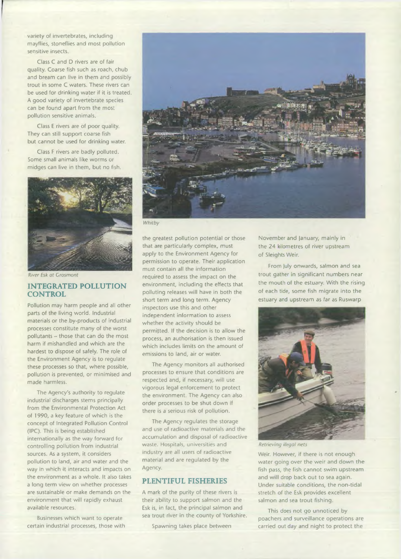variety of invertebrates, including mayflies, stoneflies and most pollution sensitive insects.

Class C and D rivers are of fair quality. Coarse fish such as roach, chub and bream can live in them and possibly trout in some C waters. These rivers can be used for drinking water if it is treated. A good variety of invertebrate species can be found apart from the most pollution sensitive animals.

Class E rivers are of poor quality. They can still support coarse fish but cannot be used for drinking water.

Class F rivers are badly polluted. Some small animals like worms or midges can live in them, but no fish.



*River Esk at Crosmont*

# INTEGRATED POLLUTION **CONTROL**

Pollution may harm people and all other parts of the living world. Industrial materials or the by-products of industrial processes constitute many of the worst pollutants - those that can do the most harm if mishandled and which are the hardest to dispose of safely. The role of the Environment Agency is to regulate these processes so that, where possible, pollution is prevented, or minimised and made harmless.

The Agency's authority to regulate industrial discharges stems principally from the Environmental Protection Act of 1990, a key feature of which is the concept of Integrated Pollution Control (IPC). This is being established internationally as the way forward for controlling pollution from industrial sources. As a system, it considers pollution to land, air and water and the way in which it interacts and impacts on the environment as a whole. It also takes a long term view on whether processes are sustainable or make demands on the environment that will rapidly exhaust available resources.

Businesses which want to operate certain industrial processes, those with



*Whitby*

the greatest pollution potential or those that are particularly complex, must apply to the Environment Agency for permission to operate. Their application must contain all the information required to assess the impact on the environment, including the effects that polluting releases will have in both the short term and long term. Agency inspectors use this and other independent information to assess whether the activity should be permitted. If the decision is to allow the process, an authorisation is then issued which includes limits on the amount of emissions to land, air or water.

The Agency monitors all authorised processes to ensure that conditions are respected and, if necessary, will use vigorous legal enforcement to protect the environment. The Agency can also order processes to be shut down if there is a serious risk of pollution.

The Agency regulates the storage and use of radioactive materials and the accumulation and disposal of radioactive waste. Hospitals, universities and industry are all users of radioactive material and are regulated by the Agency.

# PLENTIFUL FISHERIES

A mark of the purity of these rivers is their ability to support salmon and the Esk is, in fact, the principal salmon and sea trout river in the county of Yorkshire.

Spawning takes place between

November and January, mainly in the 24 kilometres of river upstream of Sleights Weir.

From July onwards, salmon and sea trout gather in significant numbers near the mouth of the estuary. With the rising of each tide, some fish migrate into the estuary and upstream as far as Ruswarp



*Retrieving illegal nets*

Weir. However, if there is not enough water going over the weir and down the fish pass, the fish cannot swim upstream and will drop back out to sea again. Under suitable conditions, the non-tidal stretch of the Esk provides excellent salmon and sea trout fishing.

This does not go unnoticed by poachers and surveillance operations are carried out day and night to protect the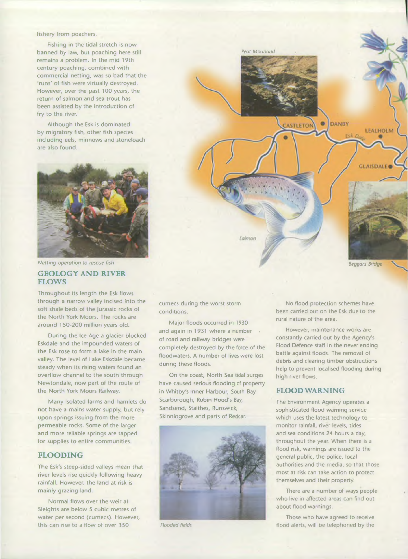#### fishery from poachers.

Fishing in the tidal stretch is now banned by law, but poaching here still remains a problem. In the mid 19th century poaching, combined with commercial netting, was so bad that the 'runs' of fish were virtually destroyed. However, over the past 100 years, the return of salmon and sea trout has been assisted by the introduction of fry to the river.

Although the Esk is dominated by migratory fish, other fish species including eels, minnows and stoneloach are also found.



#### GEOLOGY AND RIVER FLOWS

Throughout its length the Esk flows through a narrow valley incised into the soft shale beds of the Jurassic rocks of the North York Moors. The rocks are around 150-200 million years old.

During the Ice Age a glacier blocked Eskdale and the impounded waters of the Esk rose to form a lake in the main valley. The level of Lake Eskdale became steady when its rising waters found an overflow channel to the south through Newtondale, now part of the route of the North York Moors Railway.

Many isolated farms and hamlets do not have a mains water supply, but rely upon springs issuing from the more permeable rocks. Some of the larger and more reliable springs are tapped for supplies to entire communities.

# FLOODING

The Esk's steep-sided valleys mean that river levels rise quickly following heavy rainfall. However, the land at risk is mainly grazing land.

Normal flows over the weir at Sleights are below 5 cubic metres of water per second (cumecs). However, this can rise to a flow of over 350



cumecs during the worst storm conditions.

Major floods occurred in 1930 and again in 1931 where a number . of road and railway bridges were completely destroyed by the force of the floodwaters. A number of lives were lost during these floods.

On the coast, North Sea tidal surges have caused serious flooding of property in Whitby's Inner Harbour, South Bay Scarborough, Robin Hood's Bay, Sandsend, Staithes, Runswick, Skinningrove and parts of Redcar.



No flood protection schemes have been carried out on the Esk due to the rural nature of the area.

However, maintenance works are constantly carried out by the Agency's Flood Defence staff in the never ending battle against floods. The removal of debris and clearing timber obstructions help to prevent localised flooding during high river flows.

# FLOOD WARNING

The Environment Agency operates a sophisticated flood warning service which uses the latest technology to monitor rainfall, river levels, tides and sea conditions 24 hours a day, throughout the year. When there is a flood risk, warnings are issued to the general public, the police, local authorities and the media, so that those most at risk can take action to protect themselves and their property.

There are a number of ways people who live in affected areas can find out about flood warnings.

Those who have agreed to receive Flooded fields **flood alerts**, will be telephoned by the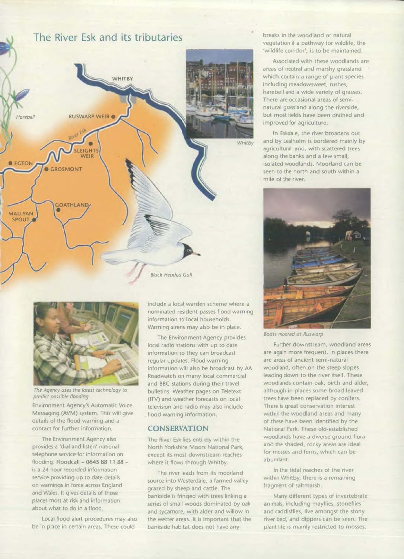# **The River Esk and its tributaries**





*The Agency uses the latest technology to predict possible flooding*

Environment Agency's Automatic Voice Messaging (AVM) system. This will give details of the flood warning and a contact for further information.

The Environment Agency also provides a 'dial and listen' national telephone service for information on flooding. Floodcall - 0645 88 11 88 is a 24 hour recorded information service providing up to date details on warnings in force across England and Wales. It gives details of those places most at risk and information about what to do in a flood.

Local flood alert procedures may also be in place in certain areas. These could

include a local warden scheme where a nominated resident passes flood warning information to local households. Warning sirens may also be in place.

The Environment Agency provides local radio stations with up to date information so they can broadcast regular updates. Flood warning information will also be broadcast by AA Roadwatch on many local commercial and BBC stations during their travel bulletins. Weather pages on Teletext (ITV) and weather forecasts on local television and radio may also include flood warning information.

# **CONSERVATION**

The River Esk lies entirely within the North Yorkshire Moors National Park, except its most downstream reaches where it flows through Whitby.

The river leads from its moorland source into Westerdale, a farmed valley grazed by sheep and cattle. The bankside is fringed with trees linking a series of small woods dominated by oak and sycamore, with alder and willow in the wetter areas. It is important that the bankside habitat does not have any

breaks in the woodland or natural vegetation if a pathway for wildlife, the 'wildlife corridor', is to be maintained.

Associated with these woodlands are areas of neutral and marshy grassland which contain a range of plant species including meadowsweet, rushes, harebell and a wide variety of grasses. There are occasional areas of seminatural grassland along the riverside, but most fields have been drained and improved for agriculture.

In Eskdale, the river broadens out and by Lealholm is bordered mainly by agricultural land, with scattered trees along the banks and a few small, isolated woodlands. Moorland can be seen to the north and south within a mile of the river.



*Boats moored at Ruswarp*

Further downstream, woodland areas are again more frequent. In places there are areas of ancient semi-natural woodland, often on the steep slopes leading down to the river itself. These woodlands contain oak, birch and alder, although in places some broad-leaved trees have been replaced by conifers. There is great conservation interest within the woodland areas and many of these have been identified by the National Park. These old-established woodlands have a diverse ground flora and the shaded, rocky areas are ideal for mosses and ferns, which can be abundant.

In the tidal reaches of the river within Whitby, there is a remaining fragment of saltmarsh.

Many different types of invertebrate animals, including mayflies, stoneflies and caddisflies, live amongst the stony river bed, and dippers can be seen. The plant life is mainly restricted to mosses.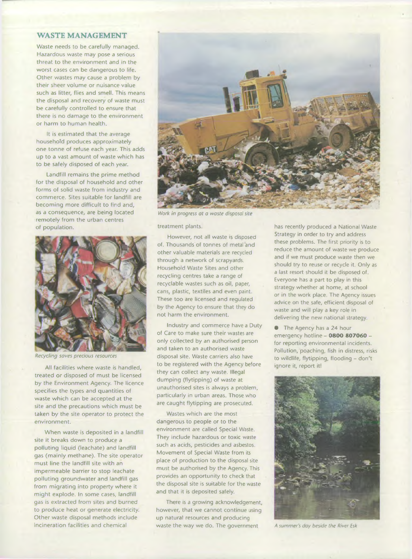## WASTE MANAGEMENT

Waste needs to be carefully managed. Hazardous waste may pose a serious threat to the environment and in the worst cases can be dangerous to life. Other wastes may cause a problem by their sheer volume or nuisance value such as litter, flies and smell. This means the disposal and recovery of waste must be carefully controlled to ensure that there is no damage to the environment or harm to human health.

It is estimated that the average household produces approximately one tonne of refuse each year. This adds up to a vast amount of waste which has to be safely disposed of each year.

Landfill remains the prime method for the disposal of household and other forms of solid waste from industry and commerce. Sites suitable for landfill are becoming more difficult to find and, as a consequence, are being located remotely from the urban centres of population.



*Recycling saves precious resources*

All facilities where waste is handled, treated or disposed of must be licensed by the Environment Agency. The licence specifies the types and quantities of waste which can be accepted at the site and the precautions which must be taken by the site operator to protect the environment.

When waste is deposited in a landfill site it breaks down to produce a polluting liquid (leachate) and landfill gas (mainly methane). The site operator must line the landfill site with an impermeable barrier to stop leachate polluting groundwater and landfill gas from migrating into property where it might explode. In some cases, landfill gas is extracted from sites and burned to produce heat or generate electricity. Other waste disposal methods include incineration facilities and chemical



*Work in progress at a waste disposal site*

treatment plants.

However, not all waste is disposed of. Thousands of tonnes of metal and other valuable materials are recycled through a network of scrapyards. Household Waste Sites and other recycling centres take a range of recyclable wastes such as oil, paper, cans, plastic, textiles and even paint. These too are licensed and regulated by the Agency to ensure that they do not harm the environment.

Industry and commerce have a Duty of Care to make sure their wastes are only collected by an authorised person and taken to an authorised waste disposal site. Waste carriers also have to be registered with the Agency before they can collect any waste. Illegal dumping (flytipping) of waste at unauthorised sites is always a problem, particularly in urban areas. Those who are caught flytipping are prosecuted.

Wastes which are the most dangerous to people or to the environment are called Special Waste. They include hazardous or toxic waste such as acids, pesticides and asbestos. Movement of Special Waste from its place of production to the disposal site must be authorised by the Agency. This provides an opportunity to check that the disposal site is suitable for the waste and that it is deposited safely.

There is a growing acknowledgement, however, that we cannot continue using up natural resources and producing waste the way we do. The government

has recently produced a National Waste Strategy in order to try and address these problems. The first priority is to reduce the amount of waste we produce and if we must produce waste then we should try to reuse or recycle it. Only as a last resort should it be disposed of. Everyone has a part to play in this strategy whether at home, at school or in the work place. The Agency issues advice on the safe, efficient disposal of waste and will play a key role in delivering the new national strategy.

**• The Agency has a 24 hour** emergency hotline - 0800 807060 for reporting environmental incidents. Pollution, poaching, fish in distress, risks to wildlife, flytipping, flooding - don't ignore it, report it!



*A summer's day beside the River Esk*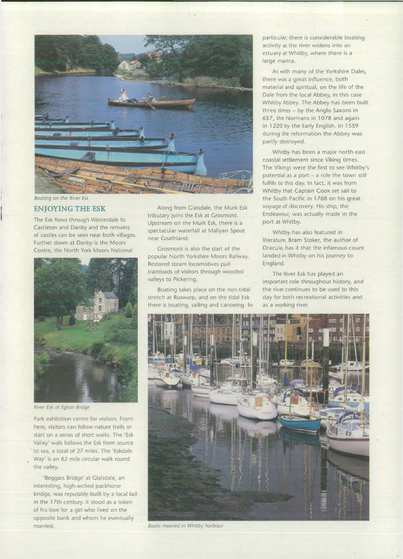

*)*

The Esk flows through Westerdale to Castleton and Danby and the remains of castles can be seen near both villages. Further down at Danby is the Moors Centre, the North York Moors National



*River Esk at Egton Bridge*

Park exhibition centre for visitors. From here, visitors can follow nature trails or start on a series of short walks. The 'Esk Valley' walk follows the Esk from source to sea, a total of 27 miles. The 'Eskdale Way' is an 82 mile circular walk round the valley.

'Beggars Bridge' at Glaisdale, an interesting, high-arched packhorse bridge, was reputably built by a local lad in the 17th century. It stood as a token of his love for a girl who lived on the opposite bank and whom he eventually married. *Boats moored in Whitby harbour*

ENJOYING THE ESK Along from Glaisdale, the Murk Esk tributary joins the Esk at Crosmont. Upstream on the Murk Esk, there is a spectacular waterfall at Mallyan Spout near Goathland.

> Grosmont is also the start of the popular North Yorkshire Moors Railway. Restored steam locomotives pull trainloads of visitors through wooded valleys to Pickering.

Boating takes place on the non-tidal stretch at Ruswarp, and on the tidal Esk there is boating, sailing and canoeing. In particular, there is considerable boating activity as the river widens into an estuary at Whitby, where there is a large marina.

As with many of the Yorkshire Dales, there was a great influence, both material and spiritual, on the life of the Dale from the local Abbey, in this case Whitby Abbey. The Abbey has been built three times - by the Anglo Saxons in 657, the Normans in 1078 and again in 1220 by the Early English. In 1559 during the reformation the Abbey was partly destroyed.

Whitby has been a major north east coastal settlement since Viking times. The Vikings were the first to see Whitby's potential as a port - a role the town still fulfils to this day. In fact, it was from Whitby that Captain Cook set sail to the South Pacific in 1 768 on his great voyage of discovery. His ship, the Endeavour, was actually made in the port at Whitby.

Whitby has also featured in literature. Bram Stoker, the author of Dracula, has it that the infamous count landed in Whitby on his journey to England.

The River Esk has played an important role throughout history, and the river continues to be used to this day for both recreational activities and as a working river.